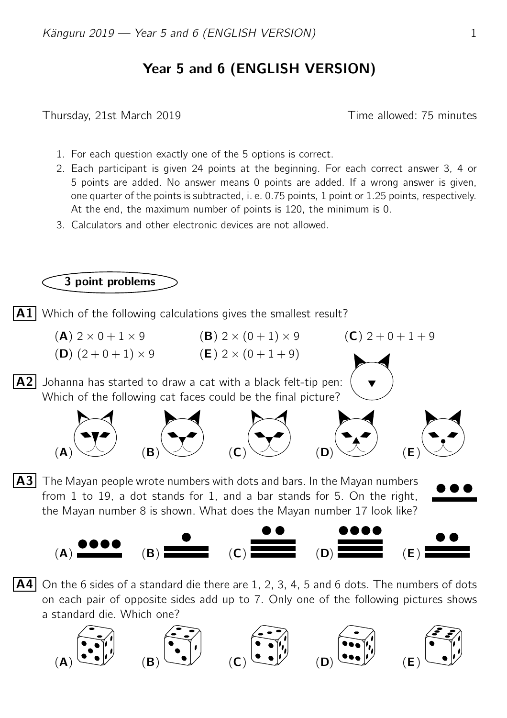## Year 5 and 6 (ENGLISH VERSION)

Thursday, 21st March 2019 Time allowed: 75 minutes

- 1. For each question exactly one of the 5 options is correct.
- 2. Each participant is given 24 points at the beginning. For each correct answer 3, 4 or 5 points are added. No answer means 0 points are added. If a wrong answer is given, one quarter of the points is subtracted, i. e. 0.75 points, 1 point or 1.25 points, respectively. At the end, the maximum number of points is 120, the minimum is 0.
- 3. Calculators and other electronic devices are not allowed.



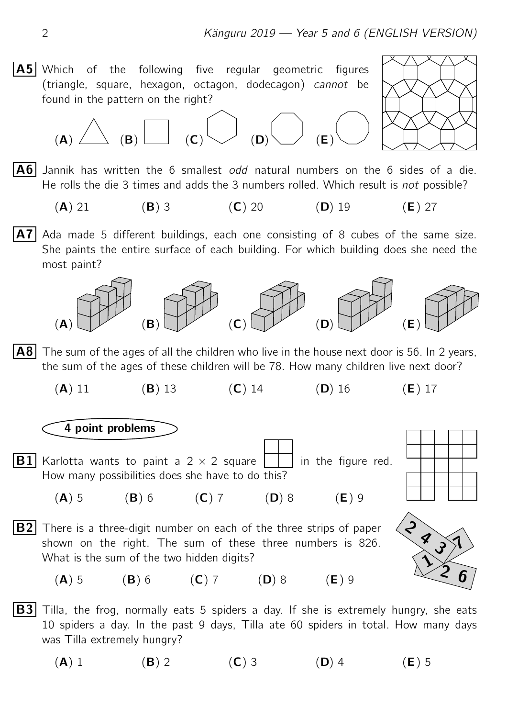



 $(A)$   $(B)$   $\begin{bmatrix} 0 \end{bmatrix}$   $(C)$   $\begin{bmatrix} 0 \end{bmatrix}$   $(B)$   $(E)$  $|{\bf A6}|$  Jannik has written the 6 smallest odd natural numbers on the 6 sides of a die. He rolls the die 3 times and adds the 3 numbers rolled. Which result is not possible?

- (A) 21 (B) 3 (C) 20 (D) 19 (E) 27
- $|\mathbf{A7}|$  Ada made 5 different buildings, each one consisting of 8 cubes of the same size. She paints the entire surface of each building. For which building does she need the most paint?



**A8** The sum of the ages of all the children who live in the house next door is 56. In 2 years, the sum of the ages of these children will be 78. How many children live next door?

(A) 11 (B) 13 (C) 14 (D) 16 (E) 17

## 4 point problems

- **B1** Karlotta wants to paint a 2  $\times$  2 square  $\vert \cdot \vert$  in the figure red. How many possibilities does she have to do this?
	- (A) 5 (B) 6 (C) 7 (D) 8 (E) 9
- **B2** There is a three-digit number on each of the three strips of paper shown on the right. The sum of these three numbers is 826. What is the sum of the two hidden digits?



 $\frac{2}{3}$ <br> $\frac{3}{2}$ <br>6

(A) 5 (B) 6 (C) 7 (D) 8 (E) 9

**B3** Tilla, the frog, normally eats 5 spiders a day. If she is extremely hungry, she eats 10 spiders a day. In the past 9 days, Tilla ate 60 spiders in total. How many days was Tilla extremely hungry?

(A) 1 (B) 2 (C) 3 (D) 4 (E) 5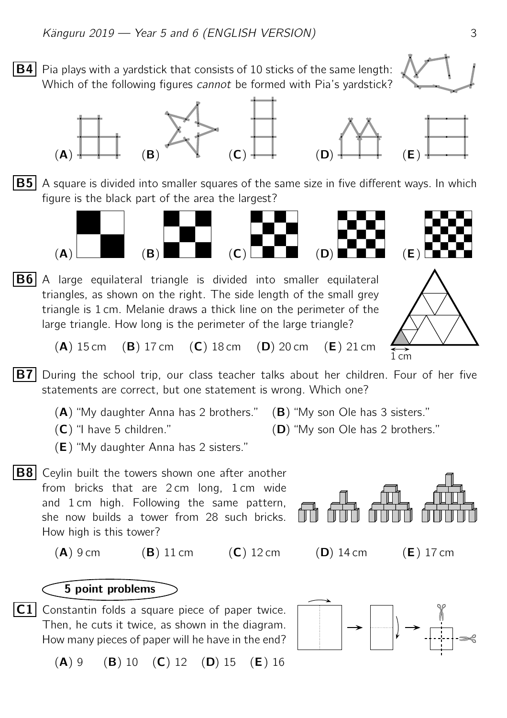**B4** Pia plays with a vardstick that consists of 10 sticks of the same length: Which of the following figures *cannot* be formed with Pia's vardstick?



**B5** A square is divided into smaller squares of the same size in five different ways. In which



 $|B6|$  A large equilateral triangle is divided into smaller equilateral triangles, as shown on the right. The side length of the small grey triangle is 1 cm. Melanie draws a thick line on the perimeter of the large triangle. How long is the perimeter of the large triangle?



- (A) 15 cm (B) 17 cm (C) 18 cm (D) 20 cm (E) 21 cm
- **B7** During the school trip, our class teacher talks about her children. Four of her five statements are correct, but one statement is wrong. Which one?
	- $(A)$  "My daughter Anna has 2 brothers."  $(B)$  "My son Ole has 3 sisters."
	- $(C)$  "I have 5 children."  $(D)$  "My son Ole has 2 brothers."
	- (E) "My daughter Anna has 2 sisters."
- **B8** Ceylin built the towers shown one after another from bricks that are 2 cm long, 1 cm wide and 1 cm high. Following the same pattern, she now builds a tower from 28 such bricks. How high is this tower?

 $(A)$  9 cm  $(B)$  11 cm  $(C)$  12 cm  $(D)$  14 cm  $(E)$  17 cm

5 point problems

 $|C1|$  Constantin folds a square piece of paper twice. Then, he cuts it twice, as shown in the diagram. How many pieces of paper will he have in the end?

 $(A) 9$  (B) 10 (C) 12 (D) 15 (E) 16